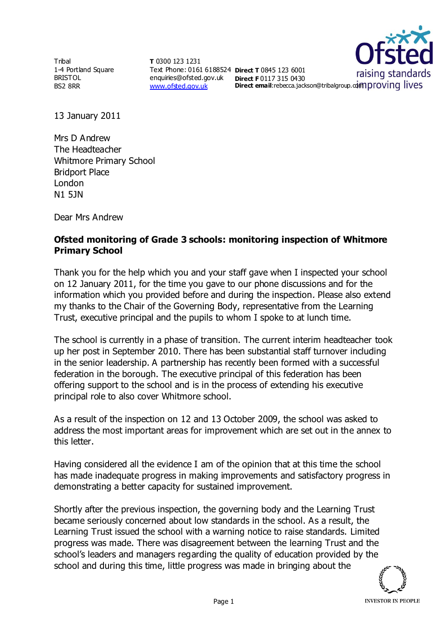**Tribal** 1-4 Portland Square BRISTOL BS2 8RR

**T** 0300 123 1231 Text Phone: 0161 6188524 **Direct T** 0845 123 6001 enquiries@ofsted.gov.uk **Direct F** 0117 315 0430 [www.ofsted.gov.uk](http://www.ofsted.gov.uk/)



13 January 2011

Mrs D Andrew The Headteacher Whitmore Primary School Bridport Place London N1 5JN

Dear Mrs Andrew

## **Ofsted monitoring of Grade 3 schools: monitoring inspection of Whitmore Primary School**

Thank you for the help which you and your staff gave when I inspected your school on 12 January 2011, for the time you gave to our phone discussions and for the information which you provided before and during the inspection. Please also extend my thanks to the Chair of the Governing Body, representative from the Learning Trust, executive principal and the pupils to whom I spoke to at lunch time.

The school is currently in a phase of transition. The current interim headteacher took up her post in September 2010. There has been substantial staff turnover including in the senior leadership. A partnership has recently been formed with a successful federation in the borough. The executive principal of this federation has been offering support to the school and is in the process of extending his executive principal role to also cover Whitmore school.

As a result of the inspection on 12 and 13 October 2009, the school was asked to address the most important areas for improvement which are set out in the annex to this letter.

Having considered all the evidence I am of the opinion that at this time the school has made inadequate progress in making improvements and satisfactory progress in demonstrating a better capacity for sustained improvement.

Shortly after the previous inspection, the governing body and the Learning Trust became seriously concerned about low standards in the school. As a result, the Learning Trust issued the school with a warning notice to raise standards. Limited progress was made. There was disagreement between the learning Trust and the school's leaders and managers regarding the quality of education provided by the school and during this time, little progress was made in bringing about the

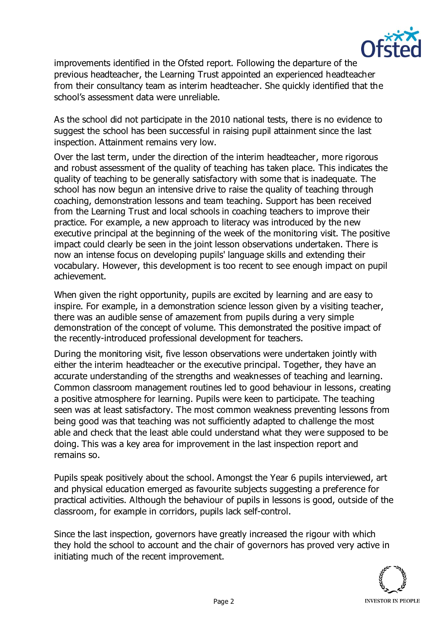

improvements identified in the Ofsted report. Following the departure of the previous headteacher, the Learning Trust appointed an experienced headteacher from their consultancy team as interim headteacher. She quickly identified that the school's assessment data were unreliable.

As the school did not participate in the 2010 national tests, there is no evidence to suggest the school has been successful in raising pupil attainment since the last inspection. Attainment remains very low.

Over the last term, under the direction of the interim headteacher, more rigorous and robust assessment of the quality of teaching has taken place. This indicates the quality of teaching to be generally satisfactory with some that is inadequate. The school has now begun an intensive drive to raise the quality of teaching through coaching, demonstration lessons and team teaching. Support has been received from the Learning Trust and local schools in coaching teachers to improve their practice. For example, a new approach to literacy was introduced by the new executive principal at the beginning of the week of the monitoring visit. The positive impact could clearly be seen in the joint lesson observations undertaken. There is now an intense focus on developing pupils' language skills and extending their vocabulary. However, this development is too recent to see enough impact on pupil achievement.

When given the right opportunity, pupils are excited by learning and are easy to inspire. For example, in a demonstration science lesson given by a visiting teacher, there was an audible sense of amazement from pupils during a very simple demonstration of the concept of volume. This demonstrated the positive impact of the recently-introduced professional development for teachers.

During the monitoring visit, five lesson observations were undertaken jointly with either the interim headteacher or the executive principal. Together, they have an accurate understanding of the strengths and weaknesses of teaching and learning. Common classroom management routines led to good behaviour in lessons, creating a positive atmosphere for learning. Pupils were keen to participate. The teaching seen was at least satisfactory. The most common weakness preventing lessons from being good was that teaching was not sufficiently adapted to challenge the most able and check that the least able could understand what they were supposed to be doing. This was a key area for improvement in the last inspection report and remains so.

Pupils speak positively about the school. Amongst the Year 6 pupils interviewed, art and physical education emerged as favourite subjects suggesting a preference for practical activities. Although the behaviour of pupils in lessons is good, outside of the classroom, for example in corridors, pupils lack self-control.

Since the last inspection, governors have greatly increased the rigour with which they hold the school to account and the chair of governors has proved very active in initiating much of the recent improvement.

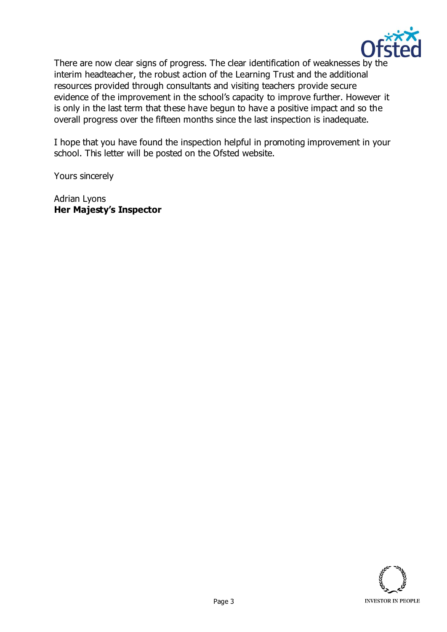

There are now clear signs of progress. The clear identification of weaknesses by the interim headteacher, the robust action of the Learning Trust and the additional resources provided through consultants and visiting teachers provide secure evidence of the improvement in the school's capacity to improve further. However it is only in the last term that these have begun to have a positive impact and so the overall progress over the fifteen months since the last inspection is inadequate.

I hope that you have found the inspection helpful in promoting improvement in your school. This letter will be posted on the Ofsted website.

Yours sincerely

Adrian Lyons **Her Majesty's Inspector**